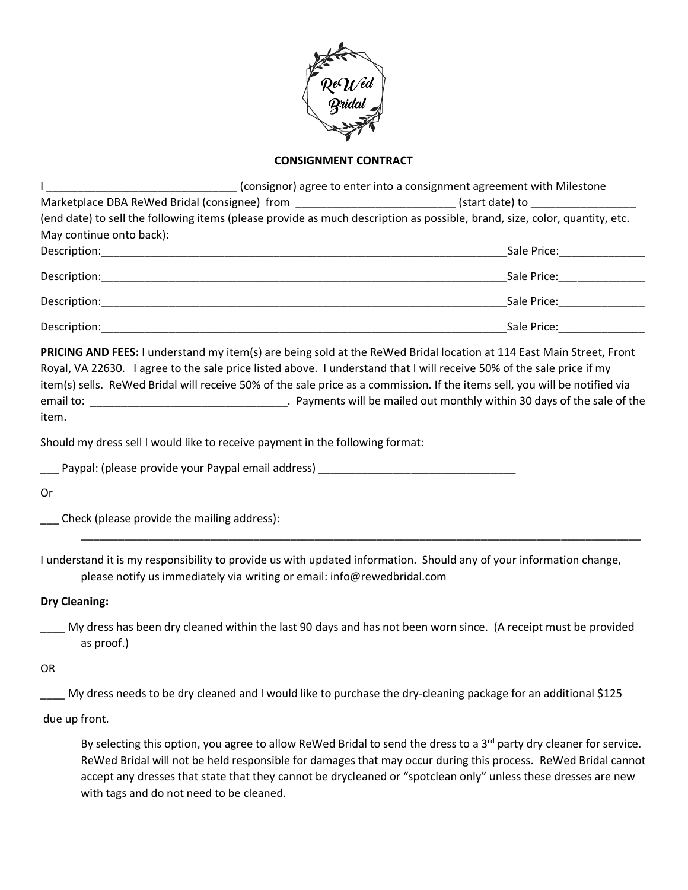

## **CONSIGNMENT CONTRACT**

|                                                                                                                                                                                                                                                                                                                                                                                       | (consignor) agree to enter into a consignment agreement with Milestone                                                                                                                                                                           |
|---------------------------------------------------------------------------------------------------------------------------------------------------------------------------------------------------------------------------------------------------------------------------------------------------------------------------------------------------------------------------------------|--------------------------------------------------------------------------------------------------------------------------------------------------------------------------------------------------------------------------------------------------|
| Marketplace DBA ReWed Bridal (consignee) from ___________________________(start date) to _____________________                                                                                                                                                                                                                                                                        |                                                                                                                                                                                                                                                  |
| (end date) to sell the following items (please provide as much description as possible, brand, size, color, quantity, etc.                                                                                                                                                                                                                                                            |                                                                                                                                                                                                                                                  |
| May continue onto back):                                                                                                                                                                                                                                                                                                                                                              |                                                                                                                                                                                                                                                  |
|                                                                                                                                                                                                                                                                                                                                                                                       |                                                                                                                                                                                                                                                  |
|                                                                                                                                                                                                                                                                                                                                                                                       |                                                                                                                                                                                                                                                  |
|                                                                                                                                                                                                                                                                                                                                                                                       |                                                                                                                                                                                                                                                  |
|                                                                                                                                                                                                                                                                                                                                                                                       |                                                                                                                                                                                                                                                  |
| PRICING AND FEES: I understand my item(s) are being sold at the ReWed Bridal location at 114 East Main Street, Front<br>Royal, VA 22630. I agree to the sale price listed above. I understand that I will receive 50% of the sale price if my<br>item(s) sells. ReWed Bridal will receive 50% of the sale price as a commission. If the items sell, you will be notified via<br>item. |                                                                                                                                                                                                                                                  |
| Should my dress sell I would like to receive payment in the following format:                                                                                                                                                                                                                                                                                                         |                                                                                                                                                                                                                                                  |
| Paypal: (please provide your Paypal email address) entitled and the control of the control of the payment of the control of the control of the control of the control of the control of the control of the control of the cont                                                                                                                                                        |                                                                                                                                                                                                                                                  |
| 0r                                                                                                                                                                                                                                                                                                                                                                                    |                                                                                                                                                                                                                                                  |
| Check (please provide the mailing address):                                                                                                                                                                                                                                                                                                                                           |                                                                                                                                                                                                                                                  |
| I understand it is my responsibility to provide us with updated information. Should any of your information change,<br>please notify us immediately via writing or email: info@rewedbridal.com                                                                                                                                                                                        |                                                                                                                                                                                                                                                  |
| <b>Dry Cleaning:</b>                                                                                                                                                                                                                                                                                                                                                                  |                                                                                                                                                                                                                                                  |
| as proof.)                                                                                                                                                                                                                                                                                                                                                                            | My dress has been dry cleaned within the last 90 days and has not been worn since. (A receipt must be provided                                                                                                                                   |
| <b>OR</b>                                                                                                                                                                                                                                                                                                                                                                             |                                                                                                                                                                                                                                                  |
|                                                                                                                                                                                                                                                                                                                                                                                       | My dress needs to be dry cleaned and I would like to purchase the dry-cleaning package for an additional \$125                                                                                                                                   |
| due up front.                                                                                                                                                                                                                                                                                                                                                                         |                                                                                                                                                                                                                                                  |
|                                                                                                                                                                                                                                                                                                                                                                                       | By selecting this option, you agree to allow ReWed Bridal to send the dress to a 3 <sup>rd</sup> party dry cleaner for service.<br>ReWed Bridal will not be held responsible for damages that may occur during this process. ReWed Bridal cannot |

accept any dresses that state that they cannot be drycleaned or "spotclean only" unless these dresses are new with tags and do not need to be cleaned.